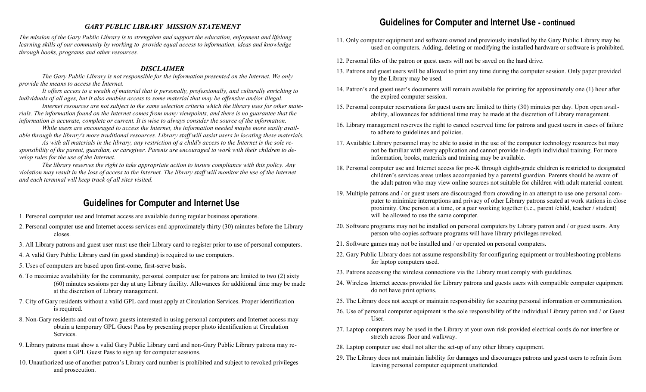#### *GARY PUBLIC LIBRARY MISSION STATEMENT*

*The mission of the Gary Public Library is to strengthen and support the education, enjoyment and lifelong learning skills of our community by working to provide equal access to information, ideas and knowledge through books, programs and other resources.* 

#### *DISCLAIMER*

*The Gary Public Library is not responsible for the information presented on the Internet. We only provide the means to access the Internet.* 

*It offers access to a wealth of material that is personally, professionally, and culturally enriching to individuals of all ages, but it also enables access to some material that may be offensive and/or illegal.* 

*Internet resources are not subject to the same selection criteria which the library uses for other materials. The information found on the Internet comes from many viewpoints, and there is no guarantee that the information is accurate, complete or current. It is wise to always consider the source of the information.* 

*While users are encouraged to access the Internet, the information needed maybe more easily available through the library's more traditional resources. Library staff will assist users in locating these materials.*

*As with all materials in the library, any restriction of a child's access to the Internet is the sole responsibility of the parent, guardian, or caregiver. Parents are encouraged to work with their children to develop rules for the use of the Internet.*

*The library reserves the right to take appropriate action to insure compliance with this policy. Any violation may result in the loss of access to the Internet. The library staff will monitor the use of the Internet and each terminal will keep track of all sites visited.* 

# **Guidelines for Computer and Internet Use**

- 1. Personal computer use and Internet access are available during regular business operations.
- 2. Personal computer use and Internet access services end approximately thirty (30) minutes before the Library closes.
- 3. All Library patrons and guest user must use their Library card to register prior to use of personal computers.
- 4. A valid Gary Public Library card (in good standing) is required to use computers.
- 5. Uses of computers are based upon first-come, first-serve basis.
- 6. To maximize availability for the community, personal computer use for patrons are limited to two (2) sixty (60) minutes sessions per day at any Library facility. Allowances for additional time may be made at the discretion of Library management.
- 7. City of Gary residents without a valid GPL card must apply at Circulation Services. Proper identification is required.
- 8. Non-Gary residents and out of town guests interested in using personal computers and Internet access may obtain a temporary GPL Guest Pass by presenting proper photo identification at Circulation Services.
- 9. Library patrons must show a valid Gary Public Library card and non-Gary Public Library patrons may request a GPL Guest Pass to sign up for computer sessions.
- 10. Unauthorized use of another patron's Library card number is prohibited and subject to revoked privileges and prosecution.

## **Guidelines for Computer and Internet Use - continued**

- 11. Only computer equipment and software owned and previously installed by the Gary Public Library may be used on computers. Adding, deleting or modifying the installed hardware or software is prohibited.
- 12. Personal files of the patron or guest users will not be saved on the hard drive.
- 13. Patrons and guest users will be allowed to print any time during the computer session. Only paper provided by the Library may be used.
- 14. Patron's and guest user's documents will remain available for printing for approximately one (1) hour after the expired computer session.
- 15. Personal computer reservations for guest users are limited to thirty (30) minutes per day. Upon open availability, allowances for additional time may be made at the discretion of Library management.
- 16. Library management reserves the right to cancel reserved time for patrons and guest users in cases of failure to adhere to guidelines and policies.
- 17. Available Library personnel may be able to assist in the use of the computer technology resources but may not be familiar with every application and cannot provide in-depth individual training. For more information, books, materials and training may be available.
- 18. Personal computer use and Internet access for pre-K through eighth-grade children is restricted to designated children's services areas unless accompanied by a parental guardian. Parents should be aware of the adult patron who may view online sources not suitable for children with adult material content.
- 19. Multiple patrons and / or guest users are discouraged from crowding in an attempt to use one personal computer to minimize interruptions and privacy of other Library patrons seated at work stations in close proximity. One person at a time, or a pair working together (i.e., parent /child, teacher / student) will be allowed to use the same computer.
- 20. Software programs may not be installed on personal computers by Library patron and / or guest users. Any person who copies software programs will have library privileges revoked.
- 21. Software games may not be installed and / or operated on personal computers.
- 22. Gary Public Library does not assume responsibility for configuring equipment or troubleshooting problems for laptop computers used.
- 23. Patrons accessing the wireless connections via the Library must comply with guidelines.
- 24. Wireless Internet access provided for Library patrons and guests users with compatible computer equipment do not have print options.
- 25. The Library does not accept or maintain responsibility for securing personal information or communication.
- 26. Use of personal computer equipment is the sole responsibility of the individual Library patron and / or Guest User.
- 27. Laptop computers may be used in the Library at your own risk provided electrical cords do not interfere or stretch across floor and walkway.
- 28. Laptop computer use shall not alter the set-up of any other library equipment.
- 29. The Library does not maintain liability for damages and discourages patrons and guest users to refrain from leaving personal computer equipment unattended.